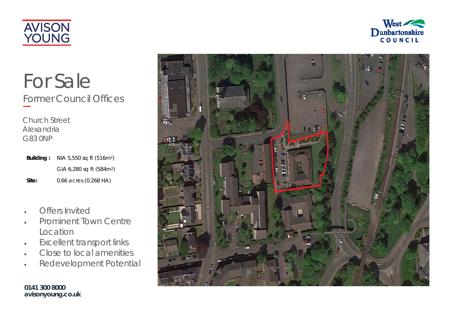



# For Sale Former Council Offices

Church Street Alexandria G83 0NP

| Building: | NIA 5,550 sq ft (516m <sup>2</sup> ) |
|-----------|--------------------------------------|
|           | GIA 6,280 sq ft (584m <sup>2</sup> ) |
| Site:     | 0.66 acres (0.268 HA)                |

- $\blacksquare$ Offers Invited
- $\bullet$  Prominent Town Centre Location
- $\bullet$ Excellent transport links
- $\bullet$ Close to local amenities
- $\bullet$ Redevelopment Potential

**0141 300 8000 avisonyoung.co.uk**